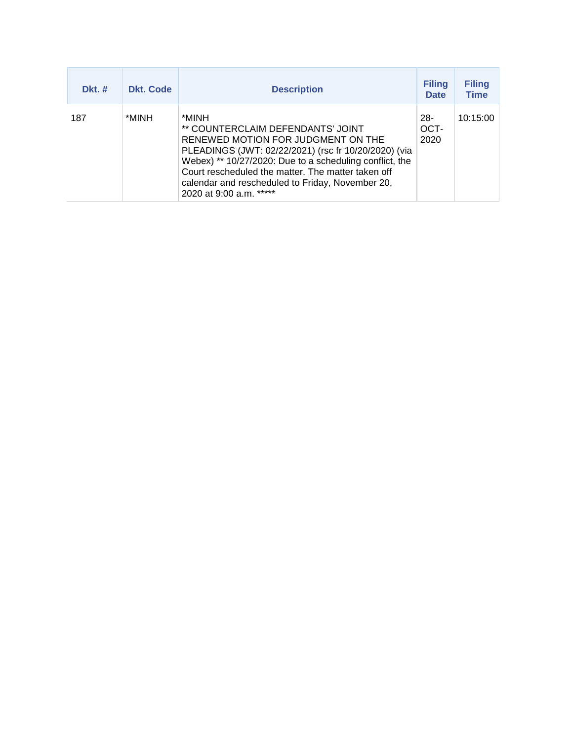| $Dkt.$ # | <b>Dkt. Code</b> | <b>Description</b>                                                                                                                                                                                                                                                                                                                       | <b>Filing</b><br><b>Date</b> | <b>Filing</b><br><b>Time</b> |
|----------|------------------|------------------------------------------------------------------------------------------------------------------------------------------------------------------------------------------------------------------------------------------------------------------------------------------------------------------------------------------|------------------------------|------------------------------|
| 187      | *MINH            | *MINH<br>** COUNTERCLAIM DEFENDANTS' JOINT<br>RENEWED MOTION FOR JUDGMENT ON THE<br>PLEADINGS (JWT: 02/22/2021) (rsc fr 10/20/2020) (via<br>Webex) ** 10/27/2020: Due to a scheduling conflict, the<br>Court rescheduled the matter. The matter taken off<br>calendar and rescheduled to Friday, November 20,<br>2020 at 9:00 a.m. ***** | $28 -$<br>OCT-<br>2020       | 10:15:00                     |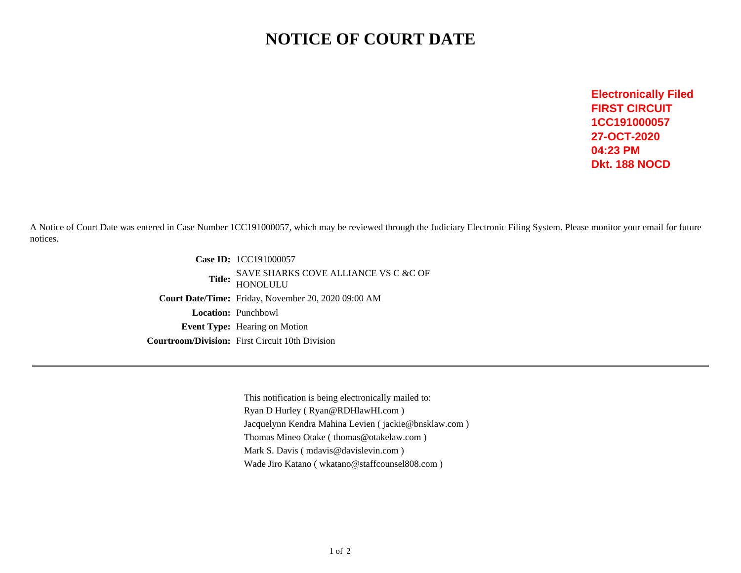## **NOTICE OF COURT DATE**

**Electronically FiledFIRST CIRCUIT 1CC19100005727-OCT-202004:23 PMDkt. 188 NOCD**

A Notice of Court Date was entered in Case Number 1CC191000057, which may be reviewed through the Judiciary Electronic Filing System. Please monitor your email for futurenotices.

> **Case ID:** 1CC191000057**Title:** SAVE SHARKS COVE ALLIANCE VS C &C OF HONOLULU **Court Date/Time:** Friday, November 20, 2020 09:00 AM**Location:** Punchbowl **Event Type:** Hearing on Motion**Courtroom/Division:** First Circuit 10th Division

> > This notification is being electronically mailed to:Ryan D Hurley ( Ryan@RDHlawHI.com )Jacquelynn Kendra Mahina Levien ( jackie@bnsklaw.com )Thomas Mineo Otake ( thomas@otakelaw.com )Mark S. Davis ( mdavis@davislevin.com )Wade Jiro Katano ( wkatano@staffcounsel808.com )